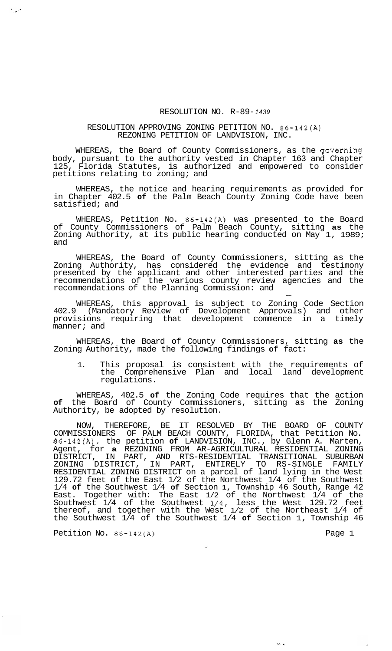## RESOLUTION NO. R-89- *1439*

## RESOLUTION APPROVING ZONING PETITION NO. 86-142(A) REZONING PETITION OF LANDVISION, INC.

WHEREAS, the Board of County Commissioners, as the governing body, pursuant to the authority vested in Chapter 163 and Chapter 125, Florida Statutes, is authorized and empowered to consider petitions relating to zoning; and

WHEREAS, the notice and hearing requirements as provided for in Chapter 402.5 **of** the Palm Beach County Zoning Code have been satisfied; and

WHEREAS, Petition No. 86-142(A) was presented to the Board of County Commissioners of Palm Beach County, sitting **as** the Zoning Authority, at its public hearing conducted on May 1, 1989; and

WHEREAS, the Board of County Commissioners, sitting as the Zoning Authority, has considered the evidence and testimony presented by the applicant and other interested parties and the recommendations of the various county review agencies and the recommendations of the Planning Commission: and

WHEREAS, this approval is subject to Zoning Code Section 402.9 (Mandatory Review of Development Approvals) and other provisions requiring that development commence in a timely manner; and

WHEREAS, the Board of County Commissioners, sitting **as** the Zoning Authority, made the following findings **of** fact:

1. This proposal is consistent with the requirements of the Comprehensive Plan and local land development regulations.

WHEREAS, 402.5 **of** the Zoning Code requires that the action **of** the Board of County Commissioners, sitting as the Zoning Authority, be adopted by resolution.

NOW, THEREFORE, BE IT RESOLVED BY THE BOARD OF COUNTY COMMISSIONERS OF PALM BEACH COUNTY, FLORIDA, that Petition No. 86-142(A), the petition **of** LANDVISION, INC., by Glenn A. Marten, Agent, for **a** REZONING FROM AR-AGRICULTURAL RESIDENTIAL ZONING DISTRICT, IN PART, AND RTS-RESIDENTIAL TRANSITIONAL SUBURBAN ZONING DISTRICT, IN PART, ENTIRELY TO RS-SINGLE FAMILY RESIDENTIAL ZONING DISTRICT on a parcel of land lying in the West 129.72 feet of the East 1/2 of the Northwest 1/4 of the Southwest 1/4 **of** the Southwest 1/4 **of** Section **1,** Township 46 South, Range 42 East. Together with: The East 1/2 of the Northwest 1/4 of the Southwest 1/4 of the Southwest 1/4, less the West 129.72 feet thereof, and together with the West 1/2 of the Northeast 1/4 of the Southwest 1/4 of the Southwest 1/4 **of** Section 1, Township 46

Petition No. 86-142(A) Petition No. 86-142(A)

 $\frac{1}{2} \frac{1}{2} \frac{1}{2}$ 

 $26.4$